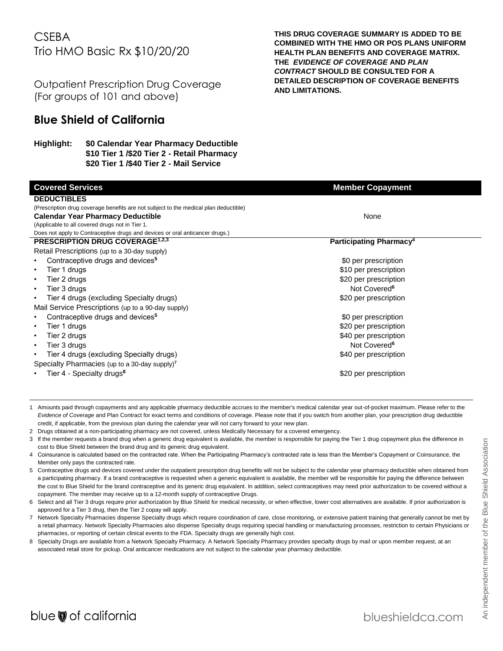# **CSEBA** Trio HMO Basic Rx \$10/20/20

Outpatient Prescription Drug Coverage (For groups of 101 and above)

## **Blue Shield of California**

## **Highlight: \$0 Calendar Year Pharmacy Deductible \$10 Tier 1 /\$20 Tier 2 - Retail Pharmacy \$20 Tier 1 /\$40 Tier 2 - Mail Service**

**THIS DRUG COVERAGE SUMMARY IS ADDED TO BE COMBINED WITH THE HMO OR POS PLANS UNIFORM HEALTH PLAN BENEFITS AND COVERAGE MATRIX. THE** *EVIDENCE OF COVERAGE* **AND** *PLAN CONTRACT* **SHOULD BE CONSULTED FOR A DETAILED DESCRIPTION OF COVERAGE BENEFITS AND LIMITATIONS.**

| <b>Covered Services</b>                                                              | <b>Member Copayment</b>             |
|--------------------------------------------------------------------------------------|-------------------------------------|
| <b>DEDUCTIBLES</b>                                                                   |                                     |
| (Prescription drug coverage benefits are not subject to the medical plan deductible) |                                     |
| <b>Calendar Year Pharmacy Deductible</b>                                             | None                                |
| (Applicable to all covered drugs not in Tier 1.                                      |                                     |
| Does not apply to Contraceptive drugs and devices or oral anticancer drugs.)         |                                     |
| <b>PRESCRIPTION DRUG COVERAGE<sup>1,2,3</sup></b>                                    | Participating Pharmacy <sup>4</sup> |
| Retail Prescriptions (up to a 30-day supply)                                         |                                     |
| Contraceptive drugs and devices <sup>5</sup>                                         | \$0 per prescription                |
| Tier 1 drugs                                                                         | \$10 per prescription               |
| Tier 2 drugs                                                                         | \$20 per prescription               |
| Tier 3 drugs                                                                         | Not Covered <sup>6</sup>            |
| Tier 4 drugs (excluding Specialty drugs)                                             | \$20 per prescription               |
| Mail Service Prescriptions (up to a 90-day supply)                                   |                                     |
| Contraceptive drugs and devices <sup>5</sup>                                         | \$0 per prescription                |
| Tier 1 drugs                                                                         | \$20 per prescription               |
| Tier 2 drugs                                                                         | \$40 per prescription               |
| Tier 3 drugs                                                                         | Not Covered <sup>6</sup>            |
| Tier 4 drugs (excluding Specialty drugs)                                             | \$40 per prescription               |
| Specialty Pharmacies (up to a 30-day supply) <sup>7</sup>                            |                                     |
| Tier 4 - Specialty drugs <sup>8</sup>                                                | \$20 per prescription               |
|                                                                                      |                                     |
|                                                                                      |                                     |

- 1 Amounts paid through copayments and any applicable pharmacy deductible accrues to the member's medical calendar year out-of-pocket maximum. Please refer to the *Evidence of Coverage* and Plan Contract for exact terms and conditions of coverage. Please note that if you switch from another plan, your prescription drug deductible credit, if applicable, from the previous plan during the calendar year will not carry forward to your new plan.
- 2 Drugs obtained at a non-participating pharmacy are not covered, unless Medically Necessary for a covered emergency.
- 3 If the member requests a brand drug when a generic drug equivalent is available, the member is responsible for paying the Tier 1 drug copayment plus the difference in cost to Blue Shield between the brand drug and its generic drug equivalent.
- 4 Coinsurance is calculated based on the contracted rate. When the Participating Pharmacy's contracted rate is less than the Member's Copayment or Coinsurance, the Member only pays the contracted rate.
- 5 Contraceptive drugs and devices covered under the outpatient prescription drug benefits will not be subject to the calendar year pharmacy deductible when obtained from a participating pharmacy. If a brand contraceptive is requested when a generic equivalent is available, the member will be responsible for paying the difference between the cost to Blue Shield for the brand contraceptive and its generic drug equivalent. In addition, select contraceptives may need prior authorization to be covered without a copayment. The member may receive up to a 12-month supply of contraceptive Drugs.
- 6 Select and all Tier 3 drugs require prior authorization by Blue Shield for medical necessity, or when effective, lower cost alternatives are available. If prior authorization is approved for a Tier 3 drug, then the Tier 2 copay will apply.
- 7 Network Specialty Pharmacies dispense Specialty drugs which require coordination of care, close monitoring, or extensive patient training that generally cannot be met by a retail pharmacy. Network Specialty Pharmacies also dispense Specialty drugs requiring special handling or manufacturing processes, restriction to certain Physicians or pharmacies, or reporting of certain clinical events to the FDA. Specialty drugs are generally high cost.
- 8 Specialty Drugs are available from a Network Specialty Pharmacy. A Network Specialty Pharmacy provides specialty drugs by mail or upon member request, at an associated retail store for pickup. Oral anticancer medications are not subject to the calendar year pharmacy deductible.

 $\overline{a}$